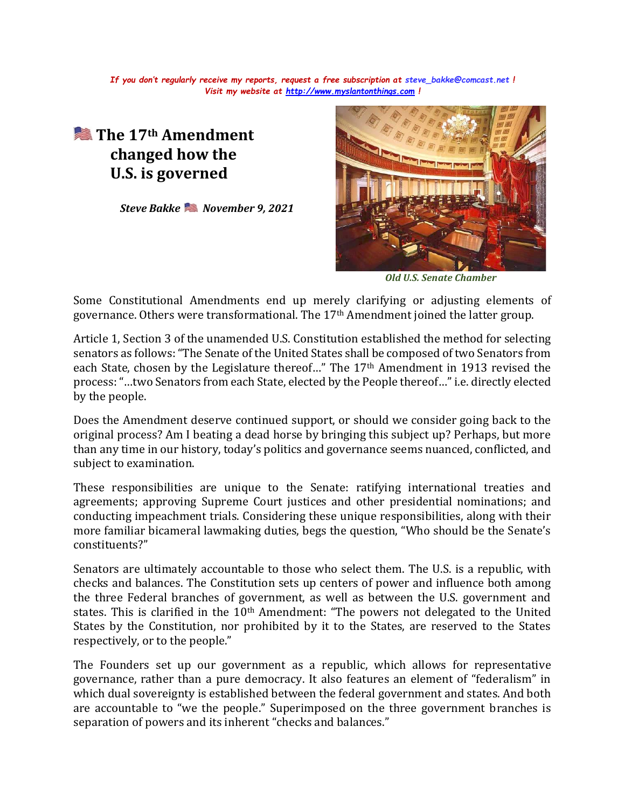*If you don't regularly receive my reports, request a free subscription at [steve\\_bakke@comcast.net](mailto:steve_bakke@comcast.net) ! Visit my website at [http://www.myslantonthings.com](http://www.myslantonthings.com/) !*

## **The 17th Amendment changed how the U.S. is governed**

*Steve Bakke November 9, 2021*



*Old U.S. Senate Chamber*

Some Constitutional Amendments end up merely clarifying or adjusting elements of governance. Others were transformational. The 17th Amendment joined the latter group.

Article 1, Section 3 of the unamended U.S. Constitution established the method for selecting senators as follows: "The Senate of the United States shall be composed of two Senators from each State, chosen by the Legislature thereof…" The 17th Amendment in 1913 revised the process: "…two Senators from each State, elected by the People thereof…" i.e. directly elected by the people.

Does the Amendment deserve continued support, or should we consider going back to the original process? Am I beating a dead horse by bringing this subject up? Perhaps, but more than any time in our history, today's politics and governance seems nuanced, conflicted, and subject to examination.

These responsibilities are unique to the Senate: ratifying international treaties and agreements; approving Supreme Court justices and other presidential nominations; and conducting impeachment trials. Considering these unique responsibilities, along with their more familiar bicameral lawmaking duties, begs the question, "Who should be the Senate's constituents?"

Senators are ultimately accountable to those who select them. The U.S. is a republic, with checks and balances. The Constitution sets up centers of power and influence both among the three Federal branches of government, as well as between the U.S. government and states. This is clarified in the 10<sup>th</sup> Amendment: "The powers not delegated to the United States by the Constitution, nor prohibited by it to the States, are reserved to the States respectively, or to the people."

The Founders set up our government as a republic, which allows for representative governance, rather than a pure democracy. It also features an element of "federalism" in which dual sovereignty is established between the federal government and states. And both are accountable to "we the people." Superimposed on the three government branches is separation of powers and its inherent "checks and balances."